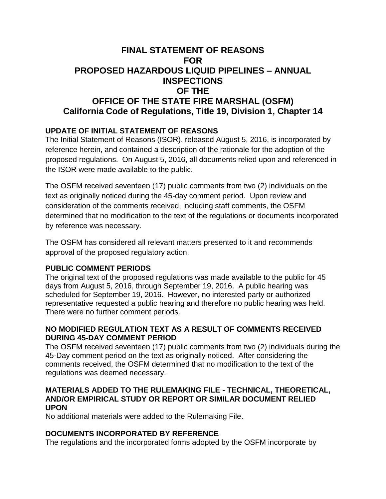# **FINAL STATEMENT OF REASONS FOR PROPOSED HAZARDOUS LIQUID PIPELINES – ANNUAL INSPECTIONS OF THE OFFICE OF THE STATE FIRE MARSHAL (OSFM) California Code of Regulations, Title 19, Division 1, Chapter 14**

# **UPDATE OF INITIAL STATEMENT OF REASONS**

The Initial Statement of Reasons (ISOR), released August 5, 2016, is incorporated by reference herein, and contained a description of the rationale for the adoption of the proposed regulations. On August 5, 2016, all documents relied upon and referenced in the ISOR were made available to the public.

The OSFM received seventeen (17) public comments from two (2) individuals on the text as originally noticed during the 45-day comment period. Upon review and consideration of the comments received, including staff comments, the OSFM determined that no modification to the text of the regulations or documents incorporated by reference was necessary.

The OSFM has considered all relevant matters presented to it and recommends approval of the proposed regulatory action.

#### **PUBLIC COMMENT PERIODS**

The original text of the proposed regulations was made available to the public for 45 days from August 5, 2016, through September 19, 2016. A public hearing was scheduled for September 19, 2016. However, no interested party or authorized representative requested a public hearing and therefore no public hearing was held. There were no further comment periods.

### **NO MODIFIED REGULATION TEXT AS A RESULT OF COMMENTS RECEIVED DURING 45-DAY COMMENT PERIOD**

The OSFM received seventeen (17) public comments from two (2) individuals during the 45-Day comment period on the text as originally noticed. After considering the comments received, the OSFM determined that no modification to the text of the regulations was deemed necessary.

#### **MATERIALS ADDED TO THE RULEMAKING FILE - TECHNICAL, THEORETICAL, AND/OR EMPIRICAL STUDY OR REPORT OR SIMILAR DOCUMENT RELIED UPON**

No additional materials were added to the Rulemaking File.

### **DOCUMENTS INCORPORATED BY REFERENCE**

The regulations and the incorporated forms adopted by the OSFM incorporate by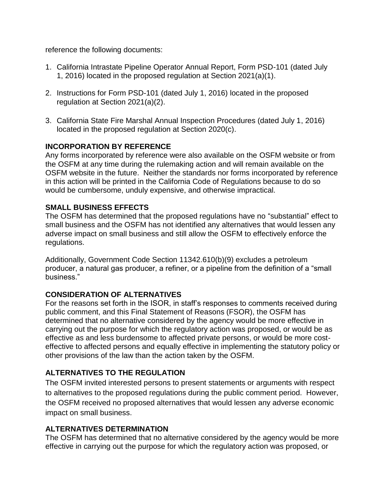reference the following documents:

- 1. California Intrastate Pipeline Operator Annual Report, Form PSD-101 (dated July 1, 2016) located in the proposed regulation at Section 2021(a)(1).
- 2. Instructions for Form PSD-101 (dated July 1, 2016) located in the proposed regulation at Section 2021(a)(2).
- 3. California State Fire Marshal Annual Inspection Procedures (dated July 1, 2016) located in the proposed regulation at Section 2020(c).

# **INCORPORATION BY REFERENCE**

Any forms incorporated by reference were also available on the OSFM website or from the OSFM at any time during the rulemaking action and will remain available on the OSFM website in the future. Neither the standards nor forms incorporated by reference in this action will be printed in the California Code of Regulations because to do so would be cumbersome, unduly expensive, and otherwise impractical.

### **SMALL BUSINESS EFFECTS**

The OSFM has determined that the proposed regulations have no "substantial" effect to small business and the OSFM has not identified any alternatives that would lessen any adverse impact on small business and still allow the OSFM to effectively enforce the regulations.

Additionally, Government Code Section 11342.610(b)(9) excludes a petroleum producer, a natural gas producer, a refiner, or a pipeline from the definition of a "small business."

### **CONSIDERATION OF ALTERNATIVES**

For the reasons set forth in the ISOR, in staff's responses to comments received during public comment, and this Final Statement of Reasons (FSOR), the OSFM has determined that no alternative considered by the agency would be more effective in carrying out the purpose for which the regulatory action was proposed, or would be as effective as and less burdensome to affected private persons, or would be more costeffective to affected persons and equally effective in implementing the statutory policy or other provisions of the law than the action taken by the OSFM.

### **ALTERNATIVES TO THE REGULATION**

The OSFM invited interested persons to present statements or arguments with respect to alternatives to the proposed regulations during the public comment period. However, the OSFM received no proposed alternatives that would lessen any adverse economic impact on small business.

### **ALTERNATIVES DETERMINATION**

The OSFM has determined that no alternative considered by the agency would be more effective in carrying out the purpose for which the regulatory action was proposed, or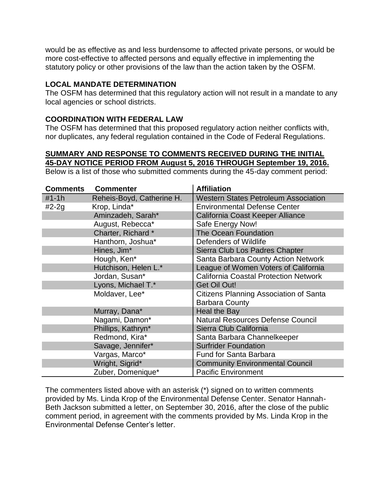would be as effective as and less burdensome to affected private persons, or would be more cost-effective to affected persons and equally effective in implementing the statutory policy or other provisions of the law than the action taken by the OSFM.

#### **LOCAL MANDATE DETERMINATION**

The OSFM has determined that this regulatory action will not result in a mandate to any local agencies or school districts.

#### **COORDINATION WITH FEDERAL LAW**

The OSFM has determined that this proposed regulatory action neither conflicts with, nor duplicates, any federal regulation contained in the Code of Federal Regulations.

#### **SUMMARY AND RESPONSE TO COMMENTS RECEIVED DURING THE INITIAL 45-DAY NOTICE PERIOD FROM August 5, 2016 THROUGH September 19, 2016.**

Below is a list of those who submitted comments during the 45-day comment period:

| <b>Comments</b> | <b>Commenter</b>          | <b>Affiliation</b>                           |
|-----------------|---------------------------|----------------------------------------------|
| $#1 - 1h$       | Reheis-Boyd, Catherine H. | <b>Western States Petroleum Association</b>  |
| $#2-2g$         | Krop, Linda*              | <b>Environmental Defense Center</b>          |
|                 | Aminzadeh, Sarah*         | California Coast Keeper Alliance             |
|                 | August, Rebecca*          | Safe Energy Now!                             |
|                 | Charter, Richard*         | <b>The Ocean Foundation</b>                  |
|                 | Hanthorn, Joshua*         | Defenders of Wildlife                        |
|                 | Hines, Jim*               | Sierra Club Los Padres Chapter               |
|                 | Hough, Ken*               | Santa Barbara County Action Network          |
|                 | Hutchison, Helen L.*      | League of Women Voters of California         |
|                 | Jordan, Susan*            | <b>California Coastal Protection Network</b> |
|                 | Lyons, Michael T.*        | <b>Get Oil Out!</b>                          |
|                 | Moldaver, Lee*            | Citizens Planning Association of Santa       |
|                 |                           | <b>Barbara County</b>                        |
|                 | Murray, Dana*             | <b>Heal the Bay</b>                          |
|                 | Nagami, Damon*            | <b>Natural Resources Defense Council</b>     |
|                 | Phillips, Kathryn*        | Sierra Club California                       |
|                 | Redmond, Kira*            | Santa Barbara Channelkeeper                  |
|                 | Savage, Jennifer*         | <b>Surfrider Foundation</b>                  |
|                 | Vargas, Marco*            | <b>Fund for Santa Barbara</b>                |
|                 | Wright, Sigrid*           | <b>Community Environmental Council</b>       |
|                 | Zuber, Domenique*         | <b>Pacific Environment</b>                   |

The commenters listed above with an asterisk (\*) signed on to written comments provided by Ms. Linda Krop of the Environmental Defense Center. Senator Hannah-Beth Jackson submitted a letter, on September 30, 2016, after the close of the public comment period, in agreement with the comments provided by Ms. Linda Krop in the Environmental Defense Center's letter.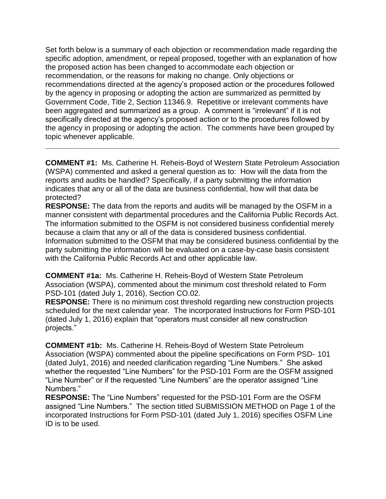Set forth below is a summary of each objection or recommendation made regarding the specific adoption, amendment, or repeal proposed, together with an explanation of how the proposed action has been changed to accommodate each objection or recommendation, or the reasons for making no change. Only objections or recommendations directed at the agency's proposed action or the procedures followed by the agency in proposing or adopting the action are summarized as permitted by Government Code, Title 2, Section 11346.9. Repetitive or irrelevant comments have been aggregated and summarized as a group. A comment is "irrelevant" if it is not specifically directed at the agency's proposed action or to the procedures followed by the agency in proposing or adopting the action. The comments have been grouped by topic whenever applicable.

**COMMENT #1:** Ms. Catherine H. Reheis-Boyd of Western State Petroleum Association (WSPA) commented and asked a general question as to: How will the data from the reports and audits be handled? Specifically, if a party submitting the information indicates that any or all of the data are business confidential, how will that data be protected?

**\_\_\_\_\_\_\_\_\_\_\_\_\_\_\_\_\_\_\_\_\_\_\_\_\_\_\_\_\_\_\_\_\_\_\_\_\_\_\_\_\_\_\_\_\_\_\_\_\_\_\_\_\_\_\_\_\_\_\_\_\_\_\_\_\_\_\_\_\_\_**

**RESPONSE:** The data from the reports and audits will be managed by the OSFM in a manner consistent with departmental procedures and the California Public Records Act. The information submitted to the OSFM is not considered business confidential merely because a claim that any or all of the data is considered business confidential. Information submitted to the OSFM that may be considered business confidential by the party submitting the information will be evaluated on a case-by-case basis consistent with the California Public Records Act and other applicable law.

**COMMENT #1a:** Ms. Catherine H. Reheis-Boyd of Western State Petroleum Association (WSPA), commented about the minimum cost threshold related to Form PSD-101 (dated July 1, 2016), Section CO.02.

**RESPONSE:** There is no minimum cost threshold regarding new construction projects scheduled for the next calendar year. The incorporated Instructions for Form PSD-101 (dated July 1, 2016) explain that "operators must consider all new construction projects."

**COMMENT #1b:** Ms. Catherine H. Reheis-Boyd of Western State Petroleum Association (WSPA) commented about the pipeline specifications on Form PSD- 101 (dated July1, 2016) and needed clarification regarding "Line Numbers." She asked whether the requested "Line Numbers" for the PSD-101 Form are the OSFM assigned "Line Number" or if the requested "Line Numbers" are the operator assigned "Line Numbers."

**RESPONSE:** The "Line Numbers" requested for the PSD-101 Form are the OSFM assigned "Line Numbers." The section titled SUBMISSION METHOD on Page 1 of the incorporated Instructions for Form PSD-101 (dated July 1, 2016) specifies OSFM Line ID is to be used.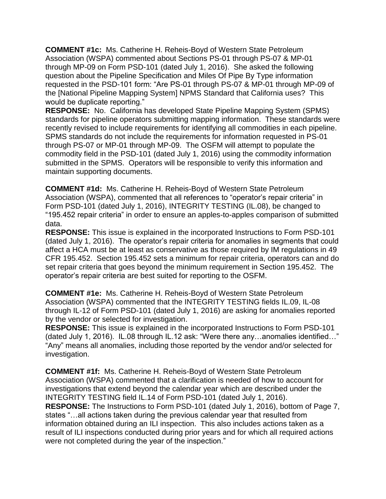**COMMENT #1c:** Ms. Catherine H. Reheis-Boyd of Western State Petroleum Association (WSPA) commented about Sections PS-01 through PS-07 & MP-01 through MP-09 on Form PSD-101 (dated July 1, 2016). She asked the following question about the Pipeline Specification and Miles Of Pipe By Type information requested in the PSD-101 form: "Are PS-01 through PS-07 & MP-01 through MP-09 of the [National Pipeline Mapping System] NPMS Standard that California uses? This would be duplicate reporting."

**RESPONSE:** No. California has developed State Pipeline Mapping System (SPMS) standards for pipeline operators submitting mapping information. These standards were recently revised to include requirements for identifying all commodities in each pipeline. SPMS standards do not include the requirements for information requested in PS-01 through PS-07 or MP-01 through MP-09. The OSFM will attempt to populate the commodity field in the PSD-101 (dated July 1, 2016) using the commodity information submitted in the SPMS. Operators will be responsible to verify this information and maintain supporting documents.

**COMMENT #1d:** Ms. Catherine H. Reheis-Boyd of Western State Petroleum Association (WSPA), commented that all references to "operator's repair criteria" in Form PSD-101 (dated July 1, 2016), INTEGRITY TESTING (IL.08), be changed to "195.452 repair criteria" in order to ensure an apples-to-apples comparison of submitted data.

**RESPONSE:** This issue is explained in the incorporated Instructions to Form PSD-101 (dated July 1, 2016). The operator's repair criteria for anomalies in segments that could affect a HCA must be at least as conservative as those required by IM regulations in 49 CFR 195.452. Section 195.452 sets a minimum for repair criteria, operators can and do set repair criteria that goes beyond the minimum requirement in Section 195.452. The operator's repair criteria are best suited for reporting to the OSFM.

**COMMENT #1e:** Ms. Catherine H. Reheis-Boyd of Western State Petroleum Association (WSPA) commented that the INTEGRITY TESTING fields IL.09, IL-08 through IL-12 of Form PSD-101 (dated July 1, 2016) are asking for anomalies reported by the vendor or selected for investigation.

**RESPONSE:** This issue is explained in the incorporated Instructions to Form PSD-101 (dated July 1, 2016). IL.08 through IL.12 ask: "Were there any…anomalies identified…" "Any" means all anomalies, including those reported by the vendor and/or selected for investigation.

**COMMENT #1f:** Ms. Catherine H. Reheis-Boyd of Western State Petroleum Association (WSPA) commented that a clarification is needed of how to account for investigations that extend beyond the calendar year which are described under the INTEGRITY TESTING field IL.14 of Form PSD-101 (dated July 1, 2016). **RESPONSE:** The Instructions to Form PSD-101 (dated July 1, 2016), bottom of Page 7, states "…all actions taken during the previous calendar year that resulted from information obtained during an ILI inspection. This also includes actions taken as a result of ILI inspections conducted during prior years and for which all required actions were not completed during the year of the inspection."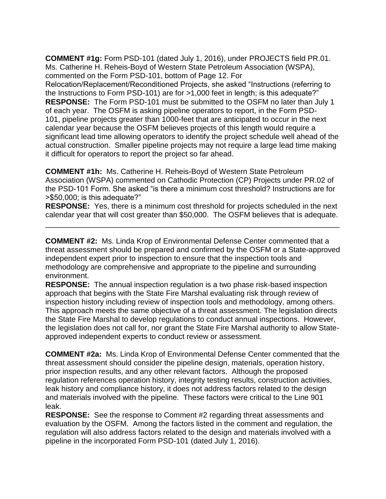**COMMENT #1g:** Form PSD-101 (dated July 1, 2016), under PROJECTS field PR.01. Ms. Catherine H. Reheis-Boyd of Western State Petroleum Association (WSPA), commented on the Form PSD-101, bottom of Page 12. For Relocation/Replacement/Reconditioned Projects, she asked "Instructions (referring to the Instructions to Form PSD-101) are for >1,000 feet in length; is this adequate?" **RESPONSE:** The Form PSD-101 must be submitted to the OSFM no later than July 1 of each year. The OSFM is asking pipeline operators to report, in the Form PSD-101, pipeline projects greater than 1000-feet that are anticipated to occur in the next calendar year because the OSFM believes projects of this length would require a significant lead time allowing operators to identify the project schedule well ahead of the actual construction. Smaller pipeline projects may not require a large lead time making it difficult for operators to report the project so far ahead.

**COMMENT #1h:** Ms. Catherine H. Reheis-Boyd of Western State Petroleum Association (WSPA) commented on Cathodic Protection (CP) Projects under PR.02 of the PSD-101 Form. She asked "is there a minimum cost threshold? Instructions are for >\$50,000; is this adequate?"

**RESPONSE:** Yes, there is a minimum cost threshold for projects scheduled in the next calendar year that will cost greater than \$50,000. The OSFM believes that is adequate.

\_\_\_\_\_\_\_\_\_\_\_\_\_\_\_\_\_\_\_\_\_\_\_\_\_\_\_\_\_\_\_\_\_\_\_\_\_\_\_\_\_\_\_\_\_\_\_\_\_\_\_\_\_\_\_\_\_\_\_\_\_\_\_\_\_\_\_\_\_\_

**COMMENT #2:** Ms. Linda Krop of Environmental Defense Center commented that a threat assessment should be prepared and confirmed by the OSFM or a State-approved independent expert prior to inspection to ensure that the inspection tools and methodology are comprehensive and appropriate to the pipeline and surrounding environment.

**RESPONSE:** The annual inspection regulation is a two phase risk-based inspection approach that begins with the State Fire Marshal evaluating risk through review of inspection history including review of inspection tools and methodology, among others. This approach meets the same objective of a threat assessment. The legislation directs the State Fire Marshal to develop regulations to conduct annual inspections. However, the legislation does not call for, nor grant the State Fire Marshal authority to allow Stateapproved independent experts to conduct review or assessment.

**COMMENT #2a:** Ms. Linda Krop of Environmental Defense Center commented that the threat assessment should consider the pipeline design, materials, operation history, prior inspection results, and any other relevant factors. Although the proposed regulation references operation history, integrity testing results, construction activities, leak history and compliance history, it does not address factors related to the design and materials involved with the pipeline. These factors were critical to the Line 901 leak.

**RESPONSE:** See the response to Comment #2 regarding threat assessments and evaluation by the OSFM. Among the factors listed in the comment and regulation, the regulation will also address factors related to the design and materials involved with a pipeline in the incorporated Form PSD-101 (dated July 1, 2016).